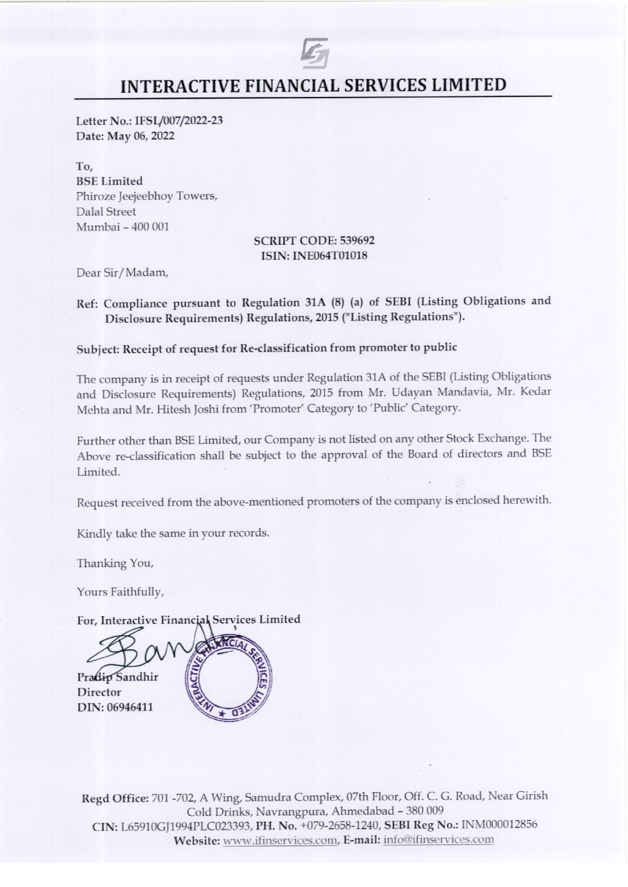# 5 INTERACTIVE FINANCIAL SERVICES LIMITED

Letter No.: IFSL/007/2022-23 Date: May 06, 2022

Fo; BSE Limited Phiroze Jeejeebhoy Towers, Dalal Street Mumbai - 400 001

#### SCRIPT CODE: 539692 ISIN: INE064T01018

Dear Sir/Madam,

## Ref: Compliance pursuant to Regulation 31A (8) (a) of SEBI (Listing Obligations and Disclosure Requirements) Regulations, 2015 ("Listing Regulations").

# Subject: Receipt of request for Re-classification from promoter to public

The company is in receipt of requests under Regulation 31A of the SEBI (Listing Obligations and Disclosure Requirements) Regulations, <sup>2015</sup> from Mr. Udayan Mandavia, Mr. Kedar Mehta and Mr. Hitesh Joshi from 'Promoter' Category to 'Public' Category.

Further other than BSE Limited, our Company is not listed on any other Stock Exchange. The Above re-classification shall be subject to the approval of the Board of directors and BSE Limited.

Request received from the above-mentioned promoters of the company is enclosed herewith.

Kindly take the same in your records.

Thanking You,

Yours Faithfully,

For, Interactive Financial Services Limited

Pradip Sandhir **Director** DIN: 06946411

Regd Office: <sup>701</sup> -702, <sup>A</sup> Wing, Samudra Complex, 07th Floor, Off. C. G. Road, Near Girish Cold Drinks, Navrangpura, Ahmedabad - 380 009 CIN: L65910G]J1994PLC023393, PH. No. +079-2658-1240, SEBI Reg No.: INM000012856 Website: www.ifinservices.com, E-mail: info@ifinservices.com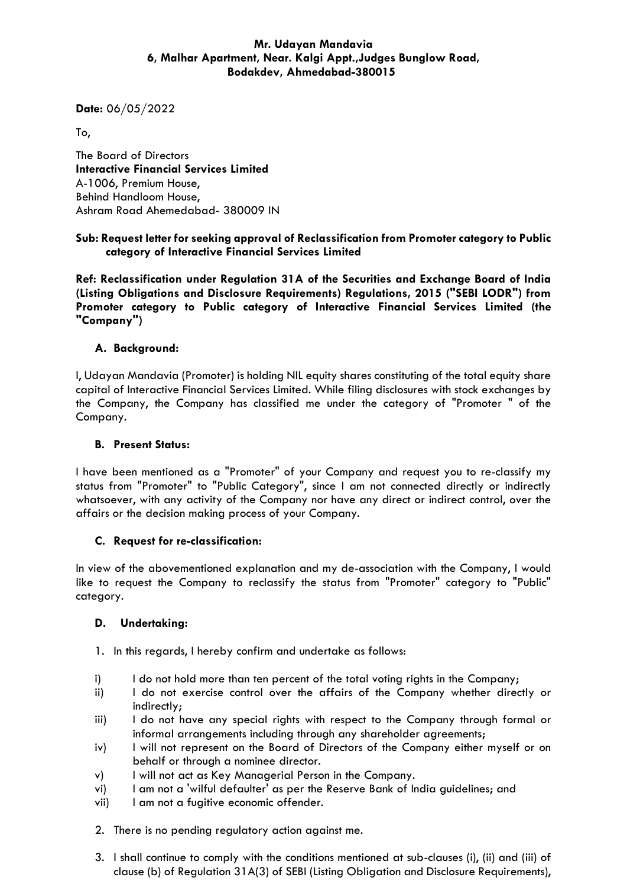## **Mr. Udayan Mandavia 6, Malhar Apartment, Near. Kalgi Appt.,Judges Bunglow Road, Bodakdev, Ahmedabad-380015**

**Date:** 06/05/2022

To,

The Board of Directors **Interactive Financial Services Limited** A-1006, Premium House, Behind Handloom House, Ashram Road Ahemedabad- 380009 IN

## **Sub: Request letter for seeking approval of Reclassification from Promoter category to Public category of Interactive Financial Services Limited**

**Ref: Reclassification under Regulation 31A of the Securities and Exchange Board of India (Listing Obligations and Disclosure Requirements) Regulations, 2015 ("SEBI LODR") from Promoter category to Public category of Interactive Financial Services Limited (the "Company")**

## **A. Background:**

I, Udayan Mandavia (Promoter) is holding NIL equity shares constituting of the total equity share capital of Interactive Financial Services Limited. While filing disclosures with stock exchanges by the Company, the Company has classified me under the category of "Promoter " of the Company.

## **B. Present Status:**

I have been mentioned as a "Promoter" of your Company and request you to re-classify my status from "Promoter" to "Public Category", since I am not connected directly or indirectly whatsoever, with any activity of the Company nor have any direct or indirect control, over the affairs or the decision making process of your Company.

## **C. Request for re-classification:**

In view of the abovementioned explanation and my de-association with the Company, I would like to request the Company to reclassify the status from "Promoter" category to "Public" category.

## **D. Undertaking:**

- 1. In this regards, I hereby confirm and undertake as follows:
- i) I do not hold more than ten percent of the total voting rights in the Company;
- ii) I do not exercise control over the affairs of the Company whether directly or indirectly;
- iii) I do not have any special rights with respect to the Company through formal or informal arrangements including through any shareholder agreements;
- iv) I will not represent on the Board of Directors of the Company either myself or on behalf or through a nominee director.
- v) I will not act as Key Managerial Person in the Company.
- vi) I am not a 'wilful defaulter' as per the Reserve Bank of India guidelines; and
- vii) I am not a fugitive economic offender.
- 2. There is no pending regulatory action against me.
- 3. I shall continue to comply with the conditions mentioned at sub-clauses (i), (ii) and (iii) of clause (b) of Regulation 31A(3) of SEBI (Listing Obligation and Disclosure Requirements),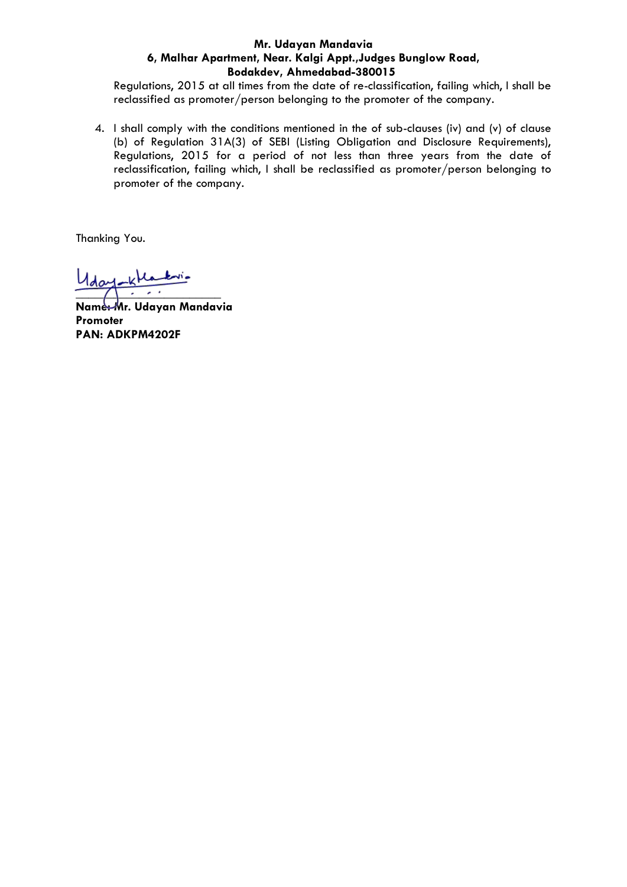#### **Mr. Udayan Mandavia 6, Malhar Apartment, Near. Kalgi Appt.,Judges Bunglow Road, Bodakdev, Ahmedabad-380015**

Regulations, 2015 at all times from the date of re-classification, failing which, I shall be reclassified as promoter/person belonging to the promoter of the company.

4. I shall comply with the conditions mentioned in the of sub-clauses (iv) and (v) of clause (b) of Regulation 31A(3) of SEBI (Listing Obligation and Disclosure Requirements), Regulations, 2015 for a period of not less than three years from the date of reclassification, failing which, I shall be reclassified as promoter/person belonging to promoter of the company.

Thanking You.

Uday Klaski  $\overline{\phantom{a}}$ 

**Name: Mr. Udayan Mandavia Promoter PAN: ADKPM4202F**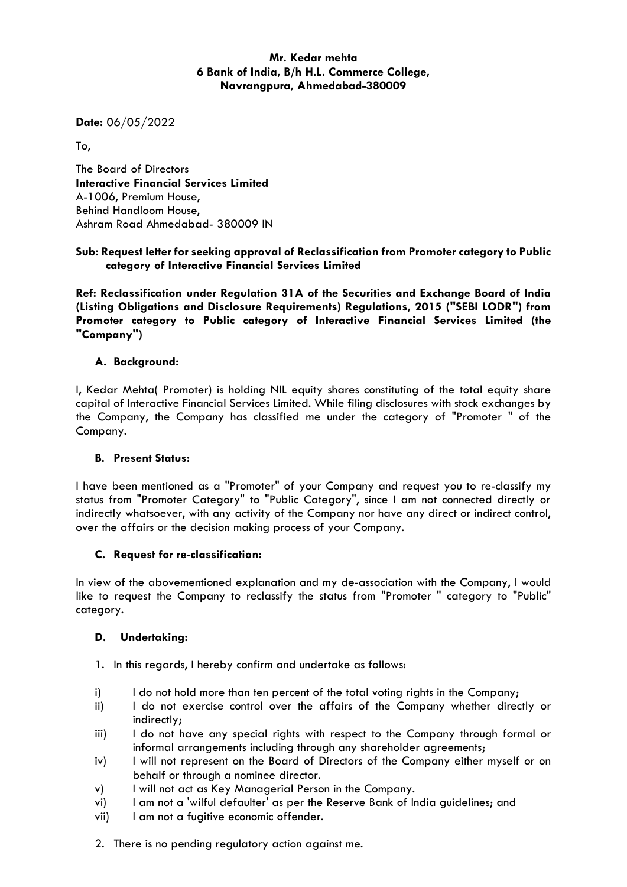## **Mr. Kedar mehta 6 Bank of India, B/h H.L. Commerce College, Navrangpura, Ahmedabad-380009**

**Date:** 06/05/2022

To,

The Board of Directors **Interactive Financial Services Limited** A-1006, Premium House, Behind Handloom House, Ashram Road Ahmedabad- 380009 IN

## **Sub: Request letter for seeking approval of Reclassification from Promoter category to Public category of Interactive Financial Services Limited**

**Ref: Reclassification under Regulation 31A of the Securities and Exchange Board of India (Listing Obligations and Disclosure Requirements) Regulations, 2015 ("SEBI LODR") from Promoter category to Public category of Interactive Financial Services Limited (the "Company")**

## **A. Background:**

I, Kedar Mehta( Promoter) is holding NIL equity shares constituting of the total equity share capital of Interactive Financial Services Limited. While filing disclosures with stock exchanges by the Company, the Company has classified me under the category of "Promoter " of the Company.

#### **B. Present Status:**

I have been mentioned as a "Promoter" of your Company and request you to re-classify my status from "Promoter Category" to "Public Category", since I am not connected directly or indirectly whatsoever, with any activity of the Company nor have any direct or indirect control, over the affairs or the decision making process of your Company.

## **C. Request for re-classification:**

In view of the abovementioned explanation and my de-association with the Company, I would like to request the Company to reclassify the status from "Promoter " category to "Public" category.

## **D. Undertaking:**

- 1. In this regards, I hereby confirm and undertake as follows:
- i) I do not hold more than ten percent of the total voting rights in the Company;
- ii) I do not exercise control over the affairs of the Company whether directly or indirectly;
- iii) I do not have any special rights with respect to the Company through formal or informal arrangements including through any shareholder agreements;
- iv) I will not represent on the Board of Directors of the Company either myself or on behalf or through a nominee director.
- v) I will not act as Key Managerial Person in the Company.
- vi) I am not a 'wilful defaulter' as per the Reserve Bank of India guidelines; and
- vii) I am not a fugitive economic offender.
- 2. There is no pending regulatory action against me.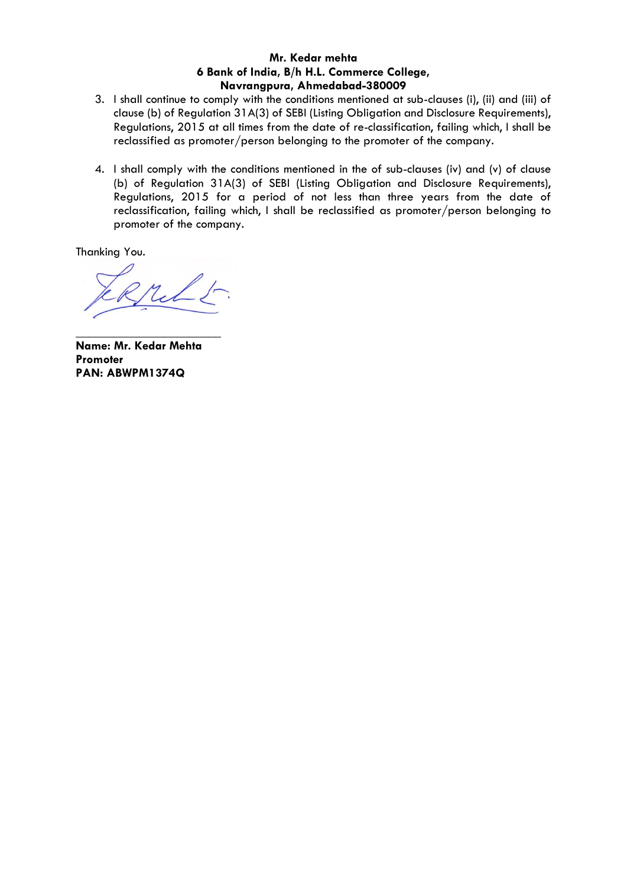## **Mr. Kedar mehta 6 Bank of India, B/h H.L. Commerce College, Navrangpura, Ahmedabad-380009**

- 3. I shall continue to comply with the conditions mentioned at sub-clauses (i), (ii) and (iii) of clause (b) of Regulation 31A(3) of SEBI (Listing Obligation and Disclosure Requirements), Regulations, 2015 at all times from the date of re-classification, failing which, I shall be reclassified as promoter/person belonging to the promoter of the company.
- 4. I shall comply with the conditions mentioned in the of sub-clauses (iv) and (v) of clause (b) of Regulation 31A(3) of SEBI (Listing Obligation and Disclosure Requirements), Regulations, 2015 for a period of not less than three years from the date of reclassification, failing which, I shall be reclassified as promoter/person belonging to promoter of the company.

Thanking You.

**Name: Mr. Kedar Mehta Promoter PAN: ABWPM1374Q**

\_\_\_\_\_\_\_\_\_\_\_\_\_\_\_\_\_\_\_\_\_\_\_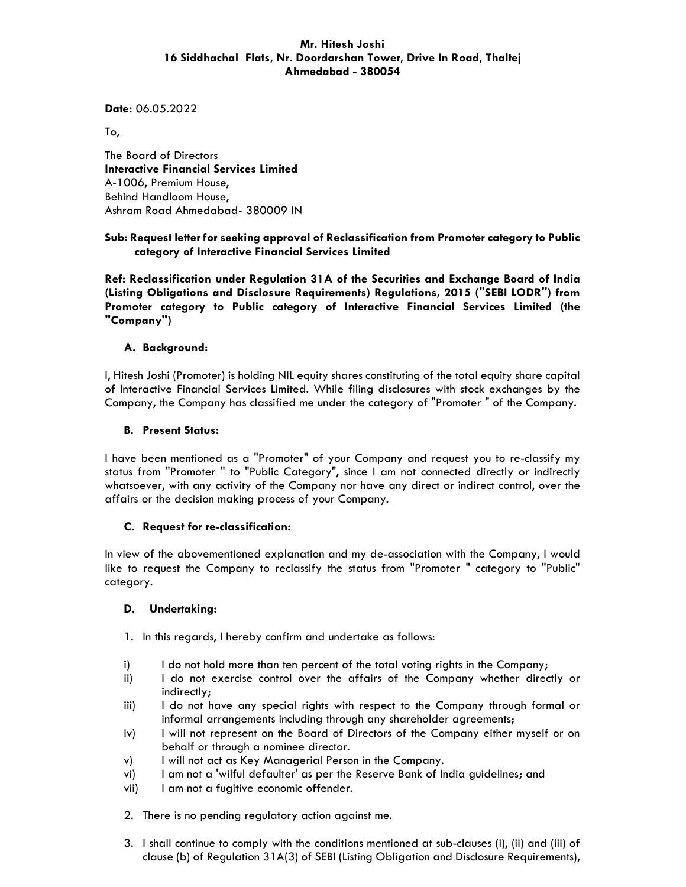#### **Mr. Hitesh Joshi 16 Siddhachal Flats, Nr. Doordarshan Tower, Drive In Road, Thaltej Ahmedabad - 380054**

**Date:** 06.05.2022

To,

The Board of Directors **Interactive Financial Services Limited**  A-1006, Premium House, Behind Handloom House, Ashram Road Ahmedabad- 380009 IN

#### **Sub: Request letter for seeking approval of Reclassification from Promoter category to Public category of Interactive Financial Services Limited**

**Ref: Reclassification under Regulation 31A of the Securities and Exchange Board of India (Listing Obligations and Disclosure Requirements) Regulations, 2015 ("SEBI LODR") from Promoter category to Public category of Interactive Financial Services Limited (the "Company")** 

#### **A. Background:**

I, Hitesh Joshi (Promoter) is holding NIL equity shares constituting of the total equity share capital of Interactive Financial Services Limited. While filing disclosures with stock exchanges by the Company, the Company has classified me under the category of "Promoter " of the Company.

#### **B. Present Status:**

I have been mentioned as a "Promoter" of your Company and request you to re-classify my status from "Promoter " to "Public Category", since I am not connected directly or indirectly whatsoever, with any activity of the Company nor have any direct or indirect control, over the affairs or the decision making process of your Company.

#### **C. Request for re-classification:**

In view of the abovementioned explanation and my de-association with the Company, I would like to request the Company to reclassify the status from "Promoter " category to "Public" category.

#### **D. Undertaking:**

1. In this regards, I hereby confirm and undertake as follows:

- i) I do not hold more than ten percent of the total voting rights in the Company;
- ii) I do not exercise control over the affairs of the Company whether directly or indirectly;
- iii) I do not have any special rights with respect to the Company through formal or informal arrangements including through any shareholder agreements;
- iv) I will not represent on the Board of Directors of the Company either myself or on behalf or through a nominee director.
- v) I will not act as Key Managerial Person in the Company.
- vi) I am not a 'wilful defaulter' as per the Reserve Bank of India guidelines; and
- vii) I am not a fugitive economic offender.
- 2. There is no pending regulatory action against me.
- 3. I shall continue to comply with the conditions mentioned at sub-clauses (i), (ii) and (iii) of clause (b) of Regulation 31A(3) of SEBI (Listing Obligation and Disclosure Requirements),